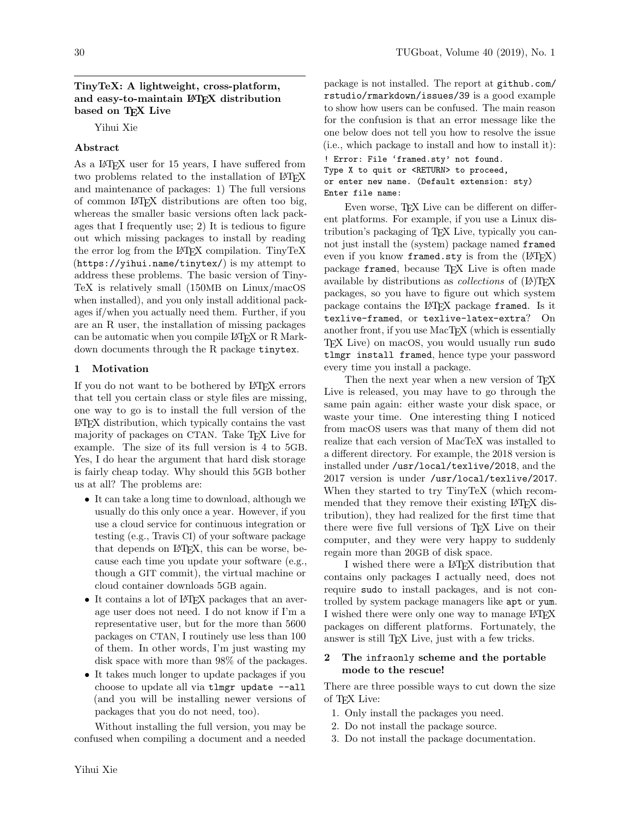## TinyTeX: A lightweight, cross-platform, and easy-to-maintain LATEX distribution based on T<sub>F</sub>X Live

Yihui Xie

## Abstract

As a L<sup>AT</sup>EX user for 15 years, I have suffered from two problems related to the installation of LAT<sub>EX</sub> and maintenance of packages: 1) The full versions of common LATEX distributions are often too big, whereas the smaller basic versions often lack packages that I frequently use; 2) It is tedious to figure out which missing packages to install by reading the error log from the LATEX compilation. TinyTeX (<https://yihui.name/tinytex/>) is my attempt to address these problems. The basic version of Tiny-TeX is relatively small (150MB on Linux/macOS when installed), and you only install additional packages if/when you actually need them. Further, if you are an R user, the installation of missing packages can be automatic when you compile LAT<sub>EX</sub> or R Markdown documents through the R package tinytex.

# 1 Motivation

If you do not want to be bothered by LATEX errors that tell you certain class or style files are missing, one way to go is to install the full version of the LATEX distribution, which typically contains the vast majority of packages on CTAN. Take T<sub>EX</sub> Live for example. The size of its full version is 4 to 5GB. Yes, I do hear the argument that hard disk storage is fairly cheap today. Why should this 5GB bother us at all? The problems are:

- It can take a long time to download, although we usually do this only once a year. However, if you use a cloud service for continuous integration or testing (e.g., [Travis](https://travis-ci.org) CI) of your software package that depends on LATEX, this can be worse, because each time you update your software (e.g., though a GIT commit), the virtual machine or cloud container downloads 5GB again.
- It contains a lot of LAT<sub>EX</sub> packages that an average user does not need. I do not know if I'm a representative user, but for the more than 5600 packages on CTAN, I routinely use less than 100 of them. In other words, I'm just wasting my disk space with more than 98% of the packages.
- It takes much longer to update packages if you choose to update all via tlmgr update --all (and you will be installing newer versions of packages that you do not need, too).

Without installing the full version, you may be confused when compiling a document and a needed

package is not installed. The report at [github.com/](github.com/rstudio/rmarkdown/issues/39) [rstudio/rmarkdown/issues/39](github.com/rstudio/rmarkdown/issues/39) is a good example to show how users can be confused. The main reason for the confusion is that an error message like the one below does not tell you how to resolve the issue (i.e., which package to install and how to install it):

! Error: File 'framed.sty' not found. Type X to quit or <RETURN> to proceed, or enter new name. (Default extension: sty) Enter file name:

Even worse, T<sub>F</sub>X Live can be different on different platforms. For example, if you use a Linux distribution's packaging of TEX Live, typically you cannot just install the (system) package named framed even if you know framed.sty is from the  $(14T_FX)$ package framed, because TEX Live is often made available by distributions as *collections* of (LA)T<sub>E</sub>X packages, so you have to figure out which system package contains the L<sup>AT</sup>EX package framed. Is it texlive-framed, or texlive-latex-extra? On another front, if you use MacT<sub>EX</sub> (which is essentially TEX Live) on macOS, you would usually run sudo tlmgr install framed, hence type your password every time you install a package.

Then the next year when a new version of T<sub>E</sub>X Live is released, you may have to go through the same pain again: either waste your disk space, or waste your time. One interesting thing I noticed from macOS users was that many of them did not realize that each version of MacTeX was installed to a different directory. For example, the 2018 version is installed under /usr/local/texlive/2018, and the 2017 version is under /usr/local/texlive/2017. When they started to try TinyTeX (which recommended that they remove their existing LAT<sub>EX</sub> distribution), they had realized for the first time that there were five full versions of T<sub>EX</sub> Live on their computer, and they were very happy to suddenly regain more than 20GB of disk space.

I wished there were a LATEX distribution that contains only packages I actually need, does not require sudo to install packages, and is not controlled by system package managers like apt or yum. I wished there were only one way to manage LAT<sub>EX</sub> packages on different platforms. Fortunately, the answer is still T<sub>E</sub>X Live, just with a few tricks.

## 2 The infraonly scheme and the portable mode to the rescue!

There are three possible ways to cut down the size of T<sub>F</sub>X Live:

- 1. Only install the packages you need.
- 2. Do not install the package source.
- 3. Do not install the package documentation.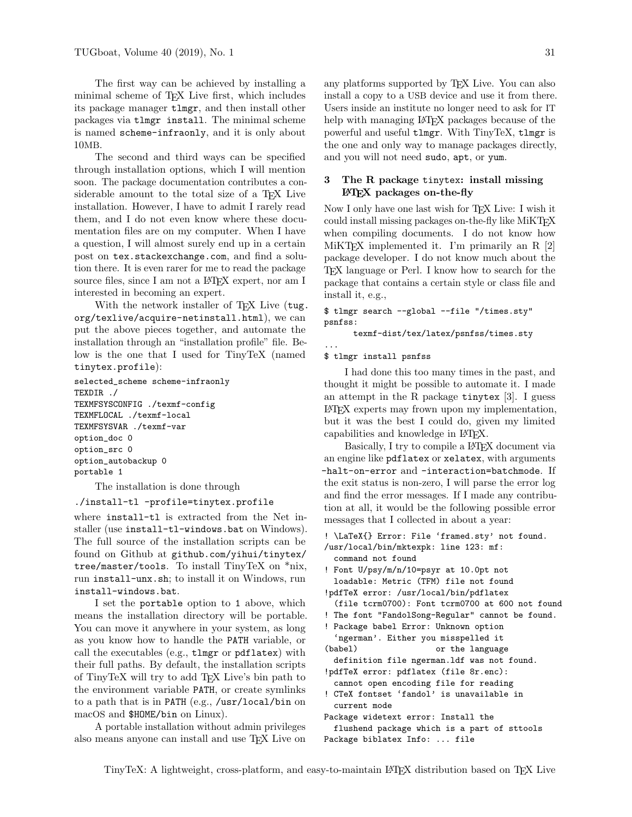The first way can be achieved by installing a minimal scheme of TEX Live first, which includes its package manager tlmgr, and then install other packages via tlmgr install. The minimal scheme is named scheme-infraonly, and it is only about 10MB.

The second and third ways can be specified through installation options, which I will mention soon. The package documentation contributes a considerable amount to the total size of a TFX Live installation. However, I have to admit I rarely read them, and I do not even know where these documentation files are on my computer. When I have a question, I will almost surely end up in a certain post on <tex.stackexchange.com>, and find a solution there. It is even rarer for me to read the package source files, since I am not a LAT<sub>EX</sub> expert, nor am I interested in becoming an expert.

With the network installer of T<sub>E</sub>X Live ([tug.](tug.org/texlive/acquire-netinstall.html) [org/texlive/acquire-netinstall.html](tug.org/texlive/acquire-netinstall.html)), we can put the above pieces together, and automate the installation through an "installation profile" file. Below is the one that I used for TinyTeX (named tinytex.profile):

```
selected_scheme scheme-infraonly
TEXDIR ./
TEXMFSYSCONFIG ./texmf-config
TEXMFLOCAL ./texmf-local
TEXMFSYSVAR ./texmf-var
option_doc 0
option_src 0
option_autobackup 0
portable 1
```
The installation is done through

#### ./install-tl -profile=tinytex.profile

where install-tl is extracted from the Net installer (use install-tl-windows.bat on Windows). The full source of the installation scripts can be found on Github at [github.com/yihui/tinytex/](github.com/yihui/tinytex/tree/master/tools) [tree/master/tools](github.com/yihui/tinytex/tree/master/tools). To install TinyTeX on \*nix, run install-unx.sh; to install it on Windows, run install-windows.bat.

I set the portable option to 1 above, which means the installation directory will be portable. You can move it anywhere in your system, as long as you know how to handle the PATH variable, or call the executables (e.g., tlmgr or pdflatex) with their full paths. By default, the installation scripts of TinyTeX will try to add TEX Live's bin path to the environment variable PATH, or create symlinks to a path that is in PATH (e.g., /usr/local/bin on macOS and \$HOME/bin on Linux).

A portable installation without admin privileges also means anyone can install and use TEX Live on any platforms supported by TEX Live. You can also install a copy to a USB device and use it from there. Users inside an institute no longer need to ask for IT help with managing L<sup>AT</sup>EX packages because of the powerful and useful tlmgr. With TinyTeX, tlmgr is the one and only way to manage packages directly, and you will not need sudo, apt, or yum.

### 3 The R package tinytex: install missing LATEX packages on-the-fly

Now I only have one last wish for T<sub>E</sub>X Live: I wish it could install missing packages on-the-fly like MiKT<sub>E</sub>X when compiling documents. I do not know how MiKTEX implemented it. I'm primarily an R [\[2\]](#page-2-0) package developer. I do not know much about the TEX language or Perl. I know how to search for the package that contains a certain style or class file and install it, e.g.,

```
$ tlmgr search --global --file "/times.sty"
psnfss:
```
texmf-dist/tex/latex/psnfss/times.sty

```
$ tlmgr install psnfss
```
...

I had done this too many times in the past, and thought it might be possible to automate it. I made an attempt in the R package tinytex [\[3\]](#page-2-1). I guess LATEX experts may frown upon my implementation, but it was the best I could do, given my limited capabilities and knowledge in LATEX.

Basically, I try to compile a L<sup>A</sup>T<sub>EX</sub> document via an engine like pdflatex or xelatex, with arguments -halt-on-error and -interaction=batchmode. If the exit status is non-zero, I will parse the error log and find the error messages. If I made any contribution at all, it would be the following possible error messages that I collected in about a year:

```
! \LaTeX{} Error: File 'framed.sty' not found.
/usr/local/bin/mktexpk: line 123: mf:
 command not found
```
- ! Font U/psy/m/n/10=psyr at 10.0pt not loadable: Metric (TFM) file not found
- !pdfTeX error: /usr/local/bin/pdflatex

```
(file tcrm0700): Font tcrm0700 at 600 not found
```
- ! The font "FandolSong-Regular" cannot be found.
- ! Package babel Error: Unknown option 'ngerman'. Either you misspelled it
- (babel) or the language
- definition file ngerman.ldf was not found. !pdfTeX error: pdflatex (file 8r.enc):
- cannot open encoding file for reading
- ! CTeX fontset 'fandol' is unavailable in current mode
- Package widetext error: Install the flushend package which is a part of sttools Package biblatex Info: ... file